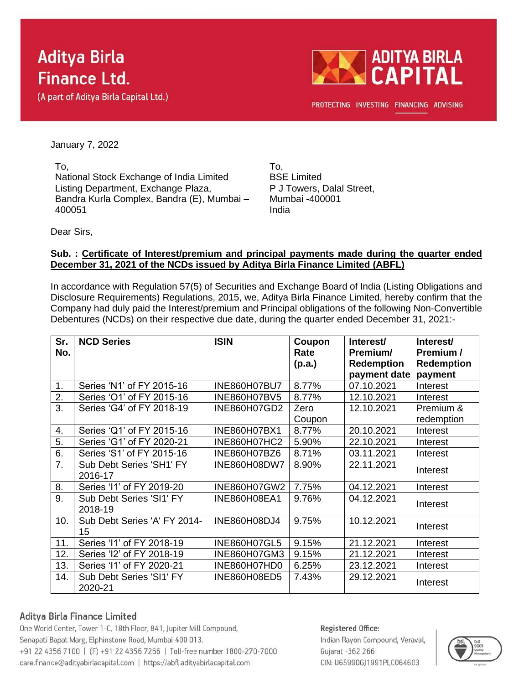# **Aditya Birla Finance Ltd.**

(A part of Aditya Birla Capital Ltd.)



PROTECTING INVESTING FINANCING ADVISING

January 7, 2022

To, National Stock Exchange of India Limited Listing Department, Exchange Plaza, Bandra Kurla Complex, Bandra (E), Mumbai – 400051

To, BSE Limited P J Towers, Dalal Street, Mumbai -400001 India

Dear Sirs,

#### **Sub. : Certificate of Interest/premium and principal payments made during the quarter ended December 31, 2021 of the NCDs issued by Aditya Birla Finance Limited (ABFL)**

In accordance with Regulation 57(5) of Securities and Exchange Board of India (Listing Obligations and Disclosure Requirements) Regulations, 2015, we, Aditya Birla Finance Limited, hereby confirm that the Company had duly paid the Interest/premium and Principal obligations of the following Non-Convertible Debentures (NCDs) on their respective due date, during the quarter ended December 31, 2021:-

| Sr.<br>No. | <b>NCD Series</b>                   | <b>ISIN</b>         | Coupon<br>Rate<br>(p.a.) | Interest/<br>Premium/<br><b>Redemption</b><br>payment date | Interest/<br>Premium /<br><b>Redemption</b><br>payment |
|------------|-------------------------------------|---------------------|--------------------------|------------------------------------------------------------|--------------------------------------------------------|
| 1.         | Series 'N1' of FY 2015-16           | INE860H07BU7        | 8.77%                    | 07.10.2021                                                 | Interest                                               |
| 2.         | Series 'O1' of FY 2015-16           | <b>INE860H07BV5</b> | 8.77%                    | 12.10.2021                                                 | Interest                                               |
| 3.         | Series 'G4' of FY 2018-19           | INE860H07GD2        | Zero                     | 12.10.2021                                                 | Premium &                                              |
|            |                                     |                     | Coupon                   |                                                            | redemption                                             |
| 4.         | Series 'Q1' of FY 2015-16           | INE860H07BX1        | 8.77%                    | 20.10.2021                                                 | Interest                                               |
| 5.         | Series 'G1' of FY 2020-21           | <b>INE860H07HC2</b> | 5.90%                    | 22.10.2021                                                 | Interest                                               |
| 6.         | Series 'S1' of FY 2015-16           | INE860H07BZ6        | 8.71%                    | 03.11.2021                                                 | Interest                                               |
| 7.         | Sub Debt Series 'SH1' FY<br>2016-17 | INE860H08DW7        | 8.90%                    | 22.11.2021                                                 | Interest                                               |
| 8.         | Series '11' of FY 2019-20           | INE860H07GW2        | 7.75%                    | 04.12.2021                                                 | Interest                                               |
| 9.         | Sub Debt Series 'SI1' FY<br>2018-19 | <b>INE860H08EA1</b> | 9.76%                    | 04.12.2021                                                 | Interest                                               |
| 10.        | Sub Debt Series 'A' FY 2014-<br>15  | INE860H08DJ4        | 9.75%                    | 10.12.2021                                                 | Interest                                               |
| 11.        | Series '11' of FY 2018-19           | <b>INE860H07GL5</b> | 9.15%                    | 21.12.2021                                                 | Interest                                               |
| 12.        | Series 'I2' of FY 2018-19           | INE860H07GM3        | 9.15%                    | 21.12.2021                                                 | Interest                                               |
| 13.        | Series '11' of FY 2020-21           | INE860H07HD0        | 6.25%                    | 23.12.2021                                                 | Interest                                               |
| 14.        | Sub Debt Series 'SI1' FY<br>2020-21 | INE860H08ED5        | 7.43%                    | 29.12.2021                                                 | Interest                                               |

### Aditya Birla Finance Limited

One World Center, Tower 1-C, 18th Floor, 841, Jupiter Mill Compound, Senapati Bapat Marg, Elphinstone Road, Mumbai 400 013. +91 22 4356 7100 | (F) +91 22 4356 7266 | Toll-free number 1800-270-7000 care.finance@adityabirlacapital.com | https://abfl.adityabirlacapital.com

#### Registered Office:

Indian Rayon Compound, Veraval, Gujarat - 362 266 CIN: U65990GJ1991PLC064603